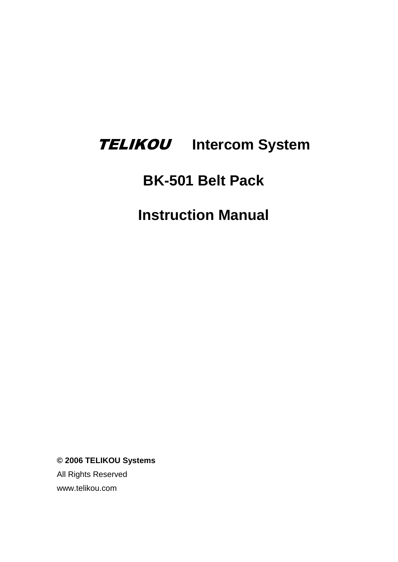# TELIKOU **Intercom System**

## **BK-501 Belt Pack**

# **Instruction Manual**

**© 2006 TELIKOU Systems**

All Rights Reserved www.telikou.com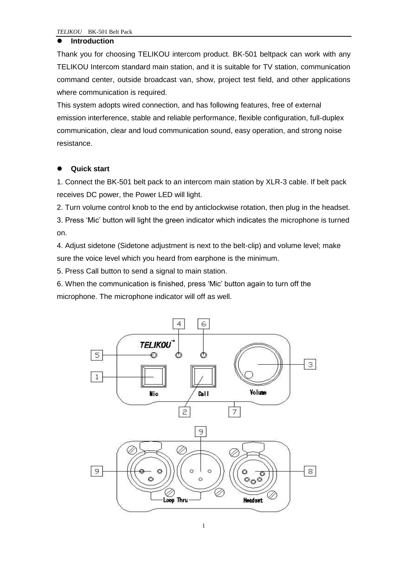#### **Introduction**

Thank you for choosing TELIKOU intercom product. BK-501 beltpack can work with any TELIKOU Intercom standard main station, and it is suitable for TV station, communication command center, outside broadcast van, show, project test field, and other applications where communication is required.

This system adopts wired connection, and has following features, free of external emission interference, stable and reliable performance, flexible configuration, full-duplex communication, clear and loud communication sound, easy operation, and strong noise resistance.

## **Quick start**

1. Connect the BK-501 belt pack to an intercom main station by XLR-3 cable. If belt pack receives DC power, the Power LED will light.

2. Turn volume control knob to the end by anticlockwise rotation, then plug in the headset.

3. Press 'Mic' button will light the green indicator which indicates the microphone is turned on.

4. Adjust sidetone (Sidetone adjustment is next to the belt-clip) and volume level; make sure the voice level which you heard from earphone is the minimum.

5. Press Call button to send a signal to main station.

6. When the communication is finished, press 'Mic' button again to turn off the microphone. The microphone indicator will off as well.

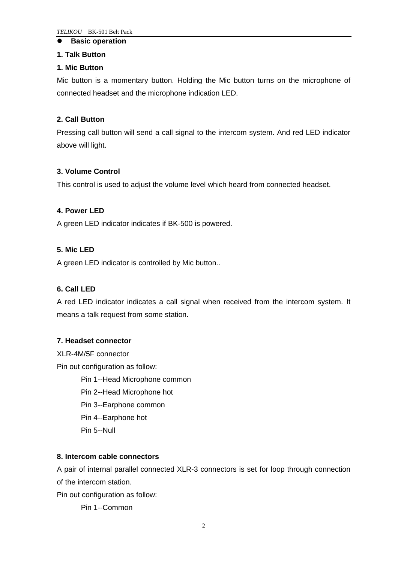#### **Basic operation**

#### **1. Talk Button**

#### **1. Mic Button**

Mic button is a momentary button. Holding the Mic button turns on the microphone of connected headset and the microphone indication LED.

## **2. Call Button**

Pressing call button will send a call signal to the intercom system. And red LED indicator above will light.

## **3. Volume Control**

This control is used to adjust the volume level which heard from connected headset.

#### **4. Power LED**

A green LED indicator indicates if BK-500 is powered.

## **5. Mic LED**

A green LED indicator is controlled by Mic button..

## **6. Call LED**

A red LED indicator indicates a call signal when received from the intercom system. It means a talk request from some station.

#### **7. Headset connector**

XLR-4M/5F connector

Pin out configuration as follow:

Pin 1--Head Microphone common

Pin 2--Head Microphone hot

Pin 3--Earphone common

Pin 4--Earphone hot

Pin 5--Null

#### **8. Intercom cable connectors**

A pair of internal parallel connected XLR-3 connectors is set for loop through connection of the intercom station.

Pin out configuration as follow:

Pin 1--Common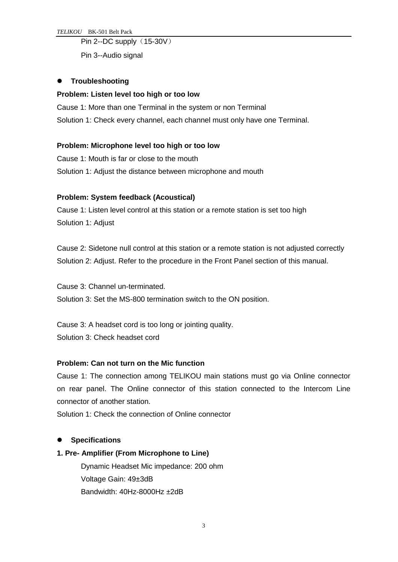*TELIKOU* BK-501 Belt Pack

#### Pin 2--DC supply (15-30V)

Pin 3--Audio signal

## **•** Troubleshooting

#### **Problem: Listen level too high or too low**

Cause 1: More than one Terminal in the system or non Terminal Solution 1: Check every channel, each channel must only have one Terminal.

## **Problem: Microphone level too high or too low**

Cause 1: Mouth is far or close to the mouth Solution 1: Adjust the distance between microphone and mouth

## **Problem: System feedback (Acoustical)**

Cause 1: Listen level control at this station or a remote station is set too high Solution 1: Adjust

Cause 2: Sidetone null control at this station or a remote station is not adjusted correctly Solution 2: Adjust. Refer to the procedure in the Front Panel section of this manual.

Cause 3: Channel un-terminated. Solution 3: Set the MS-800 termination switch to the ON position.

Cause 3: A headset cord is too long or jointing quality. Solution 3: Check headset cord

#### **Problem: Can not turn on the Mic function**

Cause 1: The connection among TELIKOU main stations must go via Online connector on rear panel. The Online connector of this station connected to the Intercom Line connector of another station.

Solution 1: Check the connection of Online connector

## **Specifications**

#### **1. Pre- Amplifier (From Microphone to Line)**

Dynamic Headset Mic impedance: 200 ohm Voltage Gain: 49±3dB Bandwidth: 40Hz-8000Hz ±2dB